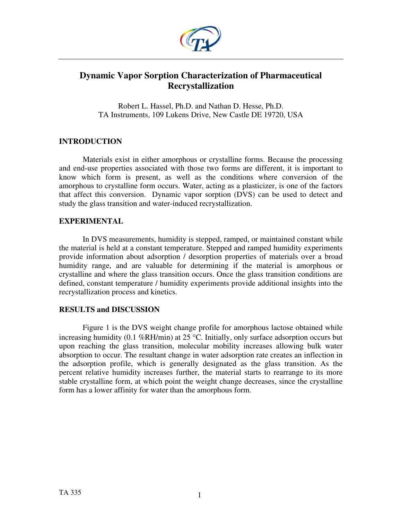

# **Dynamic Vapor Sorption Characterization of Pharmaceutical Recrystallization**

Robert L. Hassel, Ph.D. and Nathan D. Hesse, Ph.D. TA Instruments, 109 Lukens Drive, New Castle DE 19720, USA

# **INTRODUCTION**

 Materials exist in either amorphous or crystalline forms. Because the processing and end-use properties associated with those two forms are different, it is important to know which form is present, as well as the conditions where conversion of the amorphous to crystalline form occurs. Water, acting as a plasticizer, is one of the factors that affect this conversion. Dynamic vapor sorption (DVS) can be used to detect and study the glass transition and water-induced recrystallization.

### **EXPERIMENTAL**

 In DVS measurements, humidity is stepped, ramped, or maintained constant while the material is held at a constant temperature. Stepped and ramped humidity experiments provide information about adsorption / desorption properties of materials over a broad humidity range, and are valuable for determining if the material is amorphous or crystalline and where the glass transition occurs. Once the glass transition conditions are defined, constant temperature / humidity experiments provide additional insights into the recrystallization process and kinetics.

# **RESULTS and DISCUSSION**

 Figure 1 is the DVS weight change profile for amorphous lactose obtained while increasing humidity (0.1 %RH/min) at 25 °C. Initially, only surface adsorption occurs but upon reaching the glass transition, molecular mobility increases allowing bulk water absorption to occur. The resultant change in water adsorption rate creates an inflection in the adsorption profile, which is generally designated as the glass transition. As the percent relative humidity increases further, the material starts to rearrange to its more stable crystalline form, at which point the weight change decreases, since the crystalline form has a lower affinity for water than the amorphous form.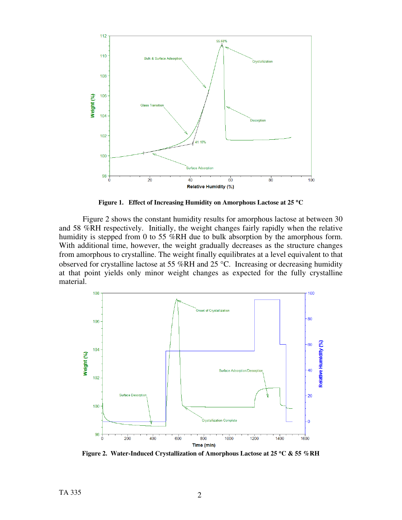

**Figure 1. Effect of Increasing Humidity on Amorphous Lactose at 25** °**C** 

 Figure 2 shows the constant humidity results for amorphous lactose at between 30 and 58 %RH respectively. Initially, the weight changes fairly rapidly when the relative humidity is stepped from 0 to 55 %RH due to bulk absorption by the amorphous form. With additional time, however, the weight gradually decreases as the structure changes from amorphous to crystalline. The weight finally equilibrates at a level equivalent to that observed for crystalline lactose at 55 %RH and 25 °C. Increasing or decreasing humidity at that point yields only minor weight changes as expected for the fully crystalline material.



**Figure 2. Water-Induced Crystallization of Amorphous Lactose at 25** °**C & 55 %RH**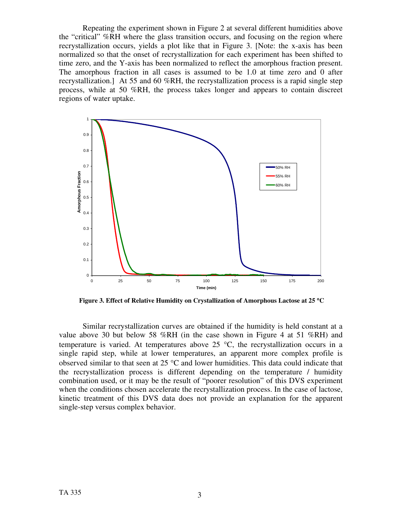Repeating the experiment shown in Figure 2 at several different humidities above the "critical" %RH where the glass transition occurs, and focusing on the region where recrystallization occurs, yields a plot like that in Figure 3. [Note: the x-axis has been normalized so that the onset of recrystallization for each experiment has been shifted to time zero, and the Y-axis has been normalized to reflect the amorphous fraction present. The amorphous fraction in all cases is assumed to be 1.0 at time zero and 0 after recrystallization.] At 55 and 60 %RH, the recrystallization process is a rapid single step process, while at 50 %RH, the process takes longer and appears to contain discreet regions of water uptake.



**Figure 3. Effect of Relative Humidity on Crystallization of Amorphous Lactose at 25** °**C** 

 Similar recrystallization curves are obtained if the humidity is held constant at a value above 30 but below 58 %RH (in the case shown in Figure 4 at 51 %RH) and temperature is varied. At temperatures above  $25 \text{ °C}$ , the recrystallization occurs in a single rapid step, while at lower temperatures, an apparent more complex profile is observed similar to that seen at 25 °C and lower humidities. This data could indicate that the recrystallization process is different depending on the temperature / humidity combination used, or it may be the result of "poorer resolution" of this DVS experiment when the conditions chosen accelerate the recrystallization process. In the case of lactose, kinetic treatment of this DVS data does not provide an explanation for the apparent single-step versus complex behavior.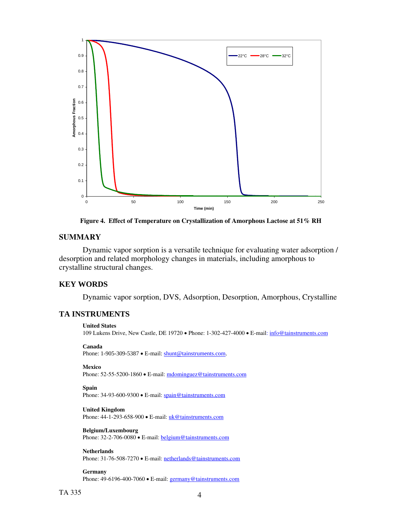

**Figure 4. Effect of Temperature on Crystallization of Amorphous Lactose at 51% RH** 

### **SUMMARY**

 Dynamic vapor sorption is a versatile technique for evaluating water adsorption / desorption and related morphology changes in materials, including amorphous to crystalline structural changes.

### **KEY WORDS**

Dynamic vapor sorption, DVS, Adsorption, Desorption, Amorphous, Crystalline

# **TA INSTRUMENTS**

#### **United States**

109 Lukens Drive, New Castle, DE 19720 • Phone: 1-302-427-4000 • E-mail: [info@tainstruments.com](mailto:info@tainstruments.com) 

Phone: 1-905-309-5387 • E-mail: [shunt@tainstruments.com.](mailto:shunt@tainstruments.com)

**Mexico** 

Phone: 52-55-5200-1860 • E-mail: mdominguez@tainstruments.com

**Spain**

Phone: 34-93-600-9300 • E-mail: spain@tainstruments.com

**United Kingdom** Phone: 44-1-293-658-900 • E-mail: uk@tainstruments.com

#### **Belgium/Luxembourg**

Phone: 32-2-706-0080 • E-mail: belgium@tainstruments.com

**Netherlands** Phone: 31-76-508-7270 • E-mail: [netherlands@tainstruments.com](mailto:netherlands@tainstruments.com)

**Germany** Phone: 49-6196-400-7060 • E-mail: [germany@tainstruments.com](mailto:germany@tainstruments.com)

**Canada**